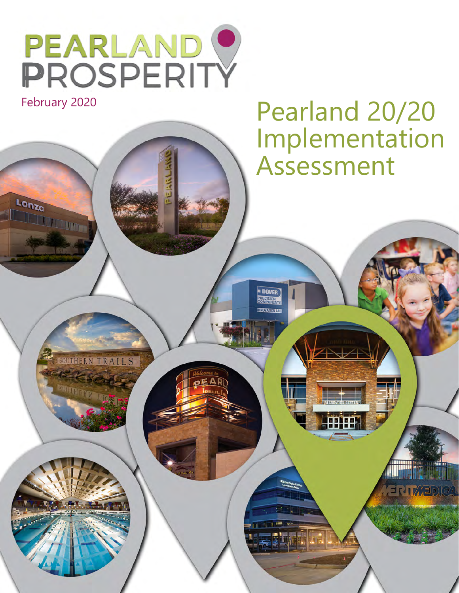

February 2020

Lonza

**Sonza** 

# Pearland 20/20 Implementation Assessment

SOUTHERN TRAILS

**WITHER MILES** 

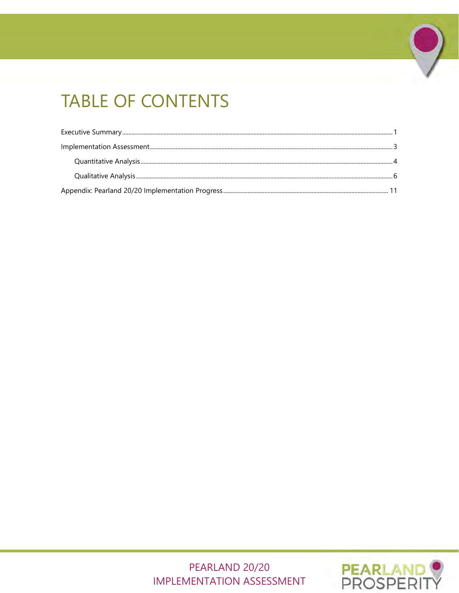# **TABLE OF CONTENTS**

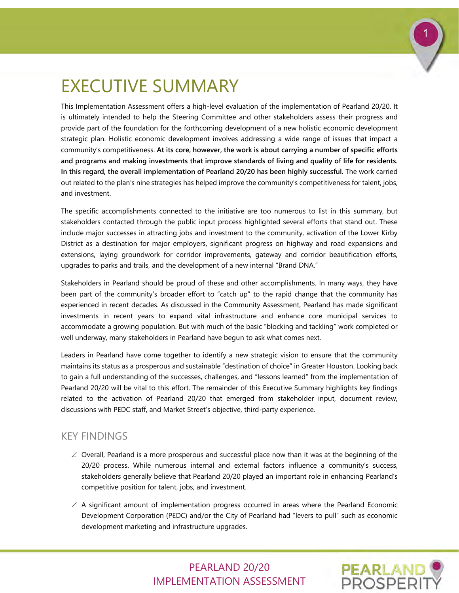

# <span id="page-2-0"></span>EXECUTIVE SUMMARY

This Implementation Assessment offers a high-level evaluation of the implementation of Pearland 20/20. It is ultimately intended to help the Steering Committee and other stakeholders assess their progress and provide part of the foundation for the forthcoming development of a new holistic economic development strategic plan. Holistic economic development involves addressing a wide range of issues that impact a community's competitiveness. **At its core, however, the work is about carrying a number of specific efforts and programs and making investments that improve standards of living and quality of life for residents. In this regard, the overall implementation of Pearland 20/20 has been highly successful.** The work carried out related to the plan's nine strategies has helped improve the community's competitiveness for talent, jobs, and investment.

The specific accomplishments connected to the initiative are too numerous to list in this summary, but stakeholders contacted through the public input process highlighted several efforts that stand out. These include major successes in attracting jobs and investment to the community, activation of the Lower Kirby District as a destination for major employers, significant progress on highway and road expansions and extensions, laying groundwork for corridor improvements, gateway and corridor beautification efforts, upgrades to parks and trails, and the development of a new internal "Brand DNA."

Stakeholders in Pearland should be proud of these and other accomplishments. In many ways, they have been part of the community's broader effort to "catch up" to the rapid change that the community has experienced in recent decades. As discussed in the Community Assessment, Pearland has made significant investments in recent years to expand vital infrastructure and enhance core municipal services to accommodate a growing population. But with much of the basic "blocking and tackling" work completed or well underway, many stakeholders in Pearland have begun to ask what comes next.

Leaders in Pearland have come together to identify a new strategic vision to ensure that the community maintains its status as a prosperous and sustainable "destination of choice" in Greater Houston. Looking back to gain a full understanding of the successes, challenges, and "lessons learned" from the implementation of Pearland 20/20 will be vital to this effort. The remainder of this Executive Summary highlights key findings related to the activation of Pearland 20/20 that emerged from stakeholder input, document review, discussions with PEDC staff, and Market Street's objective, third-party experience.

## KEY FINDINGS

- $\angle$  Overall, Pearland is a more prosperous and successful place now than it was at the beginning of the 20/20 process. While numerous internal and external factors influence a community's success, stakeholders generally believe that Pearland 20/20 played an important role in enhancing Pearland's competitive position for talent, jobs, and investment.
- $\angle$  A significant amount of implementation progress occurred in areas where the Pearland Economic Development Corporation (PEDC) and/or the City of Pearland had "levers to pull" such as economic development marketing and infrastructure upgrades.

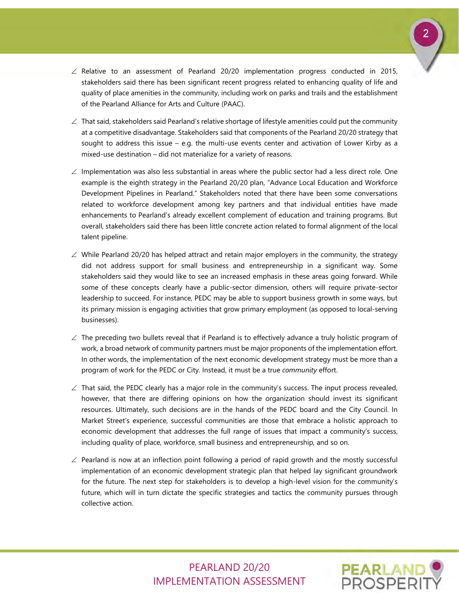

- ∠ Relative to an assessment of Pearland 20/20 implementation progress conducted in 2015, stakeholders said there has been significant recent progress related to enhancing quality of life and quality of place amenities in the community, including work on parks and trails and the establishment of the Pearland Alliance for Arts and Culture (PAAC).
- $\angle$  That said, stakeholders said Pearland's relative shortage of lifestyle amenities could put the community at a competitive disadvantage. Stakeholders said that components of the Pearland 20/20 strategy that sought to address this issue – e.g. the multi-use events center and activation of Lower Kirby as a mixed-use destination – did not materialize for a variety of reasons.
- ∠ Implementation was also less substantial in areas where the public sector had a less direct role. One example is the eighth strategy in the Pearland 20/20 plan, "Advance Local Education and Workforce Development Pipelines in Pearland." Stakeholders noted that there have been some conversations related to workforce development among key partners and that individual entities have made enhancements to Pearland's already excellent complement of education and training programs. But overall, stakeholders said there has been little concrete action related to formal alignment of the local talent pipeline.
- $\angle$  While Pearland 20/20 has helped attract and retain major employers in the community, the strategy did not address support for small business and entrepreneurship in a significant way. Some stakeholders said they would like to see an increased emphasis in these areas going forward. While some of these concepts clearly have a public-sector dimension, others will require private-sector leadership to succeed. For instance, PEDC may be able to support business growth in some ways, but its primary mission is engaging activities that grow primary employment (as opposed to local-serving businesses).
- $\angle$  The preceding two bullets reveal that if Pearland is to effectively advance a truly holistic program of work, a broad network of community partners must be major proponents of the implementation effort. In other words, the implementation of the next economic development strategy must be more than a program of work for the PEDC or City. Instead, it must be a true *community* effort.
- ∠ That said, the PEDC clearly has a major role in the community's success. The input process revealed, however, that there are differing opinions on how the organization should invest its significant resources. Ultimately, such decisions are in the hands of the PEDC board and the City Council. In Market Street's experience, successful communities are those that embrace a holistic approach to economic development that addresses the full range of issues that impact a community's success, including quality of place, workforce, small business and entrepreneurship, and so on.
- ∠ Pearland is now at an inflection point following a period of rapid growth and the mostly successful implementation of an economic development strategic plan that helped lay significant groundwork for the future. The next step for stakeholders is to develop a high-level vision for the community's future, which will in turn dictate the specific strategies and tactics the community pursues through collective action.

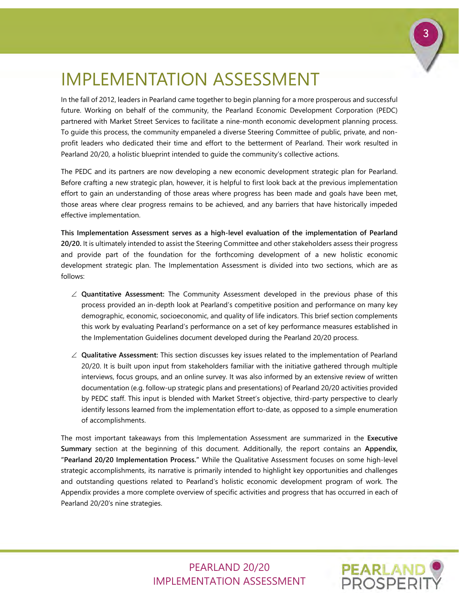# <span id="page-4-0"></span>IMPLEMENTATION ASSESSMENT

In the fall of 2012, leaders in Pearland came together to begin planning for a more prosperous and successful future. Working on behalf of the community, the Pearland Economic Development Corporation (PEDC) partnered with Market Street Services to facilitate a nine-month economic development planning process. To guide this process, the community empaneled a diverse Steering Committee of public, private, and nonprofit leaders who dedicated their time and effort to the betterment of Pearland. Their work resulted in Pearland 20/20, a holistic blueprint intended to guide the community's collective actions.

The PEDC and its partners are now developing a new economic development strategic plan for Pearland. Before crafting a new strategic plan, however, it is helpful to first look back at the previous implementation effort to gain an understanding of those areas where progress has been made and goals have been met, those areas where clear progress remains to be achieved, and any barriers that have historically impeded effective implementation.

**This Implementation Assessment serves as a high-level evaluation of the implementation of Pearland 20/20.** It is ultimately intended to assist the Steering Committee and other stakeholders assess their progress and provide part of the foundation for the forthcoming development of a new holistic economic development strategic plan. The Implementation Assessment is divided into two sections, which are as follows:

- ∠ **Quantitative Assessment:** The Community Assessment developed in the previous phase of this process provided an in-depth look at Pearland's competitive position and performance on many key demographic, economic, socioeconomic, and quality of life indicators. This brief section complements this work by evaluating Pearland's performance on a set of key performance measures established in the Implementation Guidelines document developed during the Pearland 20/20 process.
- ∠ **Qualitative Assessment:** This section discusses key issues related to the implementation of Pearland 20/20. It is built upon input from stakeholders familiar with the initiative gathered through multiple interviews, focus groups, and an online survey. It was also informed by an extensive review of written documentation (e.g. follow-up strategic plans and presentations) of Pearland 20/20 activities provided by PEDC staff. This input is blended with Market Street's objective, third-party perspective to clearly identify lessons learned from the implementation effort to-date, as opposed to a simple enumeration of accomplishments.

The most important takeaways from this Implementation Assessment are summarized in the **Executive Summary** section at the beginning of this document. Additionally, the report contains an **Appendix, "Pearland 20/20 Implementation Process."** While the Qualitative Assessment focuses on some high-level strategic accomplishments, its narrative is primarily intended to highlight key opportunities and challenges and outstanding questions related to Pearland's holistic economic development program of work. The Appendix provides a more complete overview of specific activities and progress that has occurred in each of Pearland 20/20's nine strategies.

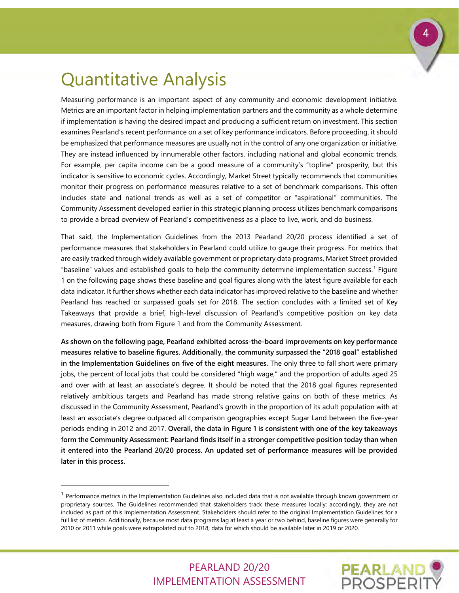## <span id="page-5-0"></span>Quantitative Analysis

-

Measuring performance is an important aspect of any community and economic development initiative. Metrics are an important factor in helping implementation partners and the community as a whole determine if implementation is having the desired impact and producing a sufficient return on investment. This section examines Pearland's recent performance on a set of key performance indicators. Before proceeding, it should be emphasized that performance measures are usually not in the control of any one organization or initiative. They are instead influenced by innumerable other factors, including national and global economic trends. For example, per capita income can be a good measure of a community's "topline" prosperity, but this indicator is sensitive to economic cycles. Accordingly, Market Street typically recommends that communities monitor their progress on performance measures relative to a set of benchmark comparisons. This often includes state and national trends as well as a set of competitor or "aspirational" communities. The Community Assessment developed earlier in this strategic planning process utilizes benchmark comparisons to provide a broad overview of Pearland's competitiveness as a place to live, work, and do business.

That said, the Implementation Guidelines from the 2013 Pearland 20/20 process identified a set of performance measures that stakeholders in Pearland could utilize to gauge their progress. For metrics that are easily tracked through widely available government or proprietary data programs, Market Street provided "baseline" values and established goals to help the community determine implementation success.[1](#page-5-1) Figure 1 on the following page shows these baseline and goal figures along with the latest figure available for each data indicator. It further shows whether each data indicator has improved relative to the baseline and whether Pearland has reached or surpassed goals set for 2018. The section concludes with a limited set of Key Takeaways that provide a brief, high-level discussion of Pearland's competitive position on key data measures, drawing both from Figure 1 and from the Community Assessment.

**As shown on the following page, Pearland exhibited across-the-board improvements on key performance measures relative to baseline figures. Additionally, the community surpassed the "2018 goal" established in the Implementation Guidelines on five of the eight measures.** The only three to fall short were primary jobs, the percent of local jobs that could be considered "high wage," and the proportion of adults aged 25 and over with at least an associate's degree. It should be noted that the 2018 goal figures represented relatively ambitious targets and Pearland has made strong relative gains on both of these metrics. As discussed in the Community Assessment, Pearland's growth in the proportion of its adult population with at least an associate's degree outpaced all comparison geographies except Sugar Land between the five-year periods ending in 2012 and 2017. **Overall, the data in Figure 1 is consistent with one of the key takeaways form the Community Assessment: Pearland finds itself in a stronger competitive position today than when it entered into the Pearland 20/20 process. An updated set of performance measures will be provided later in this process.**



<span id="page-5-1"></span> $<sup>1</sup>$  Performance metrics in the Implementation Guidelines also included data that is not available through known government or</sup> proprietary sources. The Guidelines recommended that stakeholders track these measures locally; accordingly, they are not included as part of this Implementation Assessment. Stakeholders should refer to the original Implementation Guidelines for a full list of metrics. Additionally, because most data programs lag at least a year or two behind, baseline figures were generally for 2010 or 2011 while goals were extrapolated out to 2018, data for which should be available later in 2019 or 2020.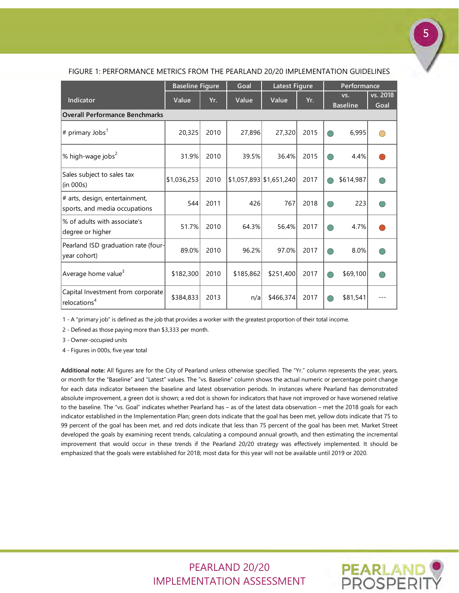|                                                                 | <b>Baseline Figure</b> |      | Goal      | <b>Latest Figure</b>    |      | Performance            |           |                  |  |  |
|-----------------------------------------------------------------|------------------------|------|-----------|-------------------------|------|------------------------|-----------|------------------|--|--|
| <b>Indicator</b>                                                | Value                  | Yr.  | Value     | Value                   | Yr.  | VS.<br><b>Baseline</b> |           | vs. 2018<br>Goal |  |  |
| <b>Overall Performance Benchmarks</b>                           |                        |      |           |                         |      |                        |           |                  |  |  |
| $\left \# \right.$ primary Jobs $^{1}$                          | 20,325                 | 2010 | 27,896    | 27,320                  | 2015 |                        | 6,995     |                  |  |  |
| $\%$ high-wage jobs <sup>2</sup>                                | 31.9%                  | 2010 | 39.5%     | 36.4%                   | 2015 |                        | 4.4%      |                  |  |  |
| Sales subject to sales tax<br>(in 000s)                         | \$1,036,253            | 2010 |           | \$1,057,893 \$1,651,240 | 2017 |                        | \$614,987 |                  |  |  |
| # arts, design, entertainment,<br>sports, and media occupations | 544                    | 2011 | 426       | 767                     | 2018 |                        | 223       |                  |  |  |
| % of adults with associate's<br>degree or higher                | 51.7%                  | 2010 | 64.3%     | 56.4%                   | 2017 | ∩                      | 4.7%      |                  |  |  |
| Pearland ISD graduation rate (four-<br>year cohort)             | 89.0%                  | 2010 | 96.2%     | 97.0%                   | 2017 |                        | 8.0%      |                  |  |  |
| Average home value <sup>3</sup>                                 | \$182,300              | 2010 | \$185,862 | \$251,400               | 2017 |                        | \$69,100  |                  |  |  |
| Capital Investment from corporate<br>relocations <sup>4</sup>   | \$384,833              | 2013 | n/a       | \$466,374               | 2017 |                        | \$81,541  |                  |  |  |

#### FIGURE 1: PERFORMANCE METRICS FROM THE PEARLAND 20/20 IMPLEMENTATION GUIDELINES

1 - A "primary job" is defined as the job that provides a worker with the greatest proportion of their total income.

2 - Defined as those paying more than \$3,333 per month.

3 - Owner-occupied units

4 - Figures in 000s, five year total

**Additional note:** All figures are for the City of Pearland unless otherwise specified. The "Yr." column represents the year, years, or month for the "Baseline" and "Latest" values. The "vs. Baseline" column shows the actual numeric or percentage point change for each data indicator between the baseline and latest observation periods. In instances where Pearland has demonstrated absolute improvement, a green dot is shown; a red dot is shown for indicators that have not improved or have worsened relative to the baseline. The "vs. Goal" indicates whether Pearland has – as of the latest data observation – met the 2018 goals for each indicator established in the Implementation Plan; green dots indicate that the goal has been met, yellow dots indicate that 75 to 99 percent of the goal has been met, and red dots indicate that less than 75 percent of the goal has been met. Market Street developed the goals by examining recent trends, calculating a compound annual growth, and then estimating the incremental improvement that would occur in these trends if the Pearland 20/20 strategy was effectively implemented. It should be emphasized that the goals were established for 2018; most data for this year will not be available until 2019 or 2020.

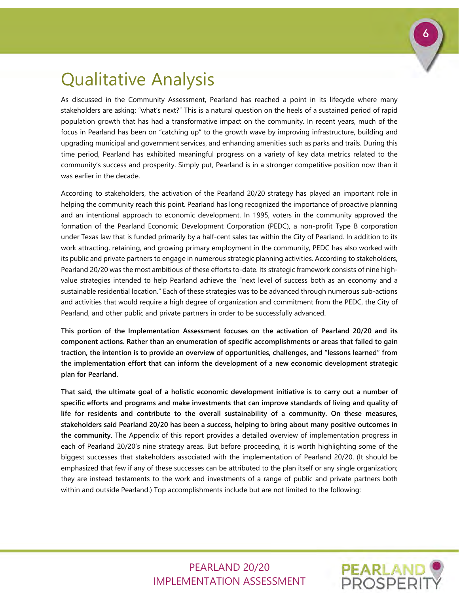# <span id="page-7-0"></span>Qualitative Analysis

As discussed in the Community Assessment, Pearland has reached a point in its lifecycle where many stakeholders are asking: "what's next?" This is a natural question on the heels of a sustained period of rapid population growth that has had a transformative impact on the community. In recent years, much of the focus in Pearland has been on "catching up" to the growth wave by improving infrastructure, building and upgrading municipal and government services, and enhancing amenities such as parks and trails. During this time period, Pearland has exhibited meaningful progress on a variety of key data metrics related to the community's success and prosperity. Simply put, Pearland is in a stronger competitive position now than it was earlier in the decade.

According to stakeholders, the activation of the Pearland 20/20 strategy has played an important role in helping the community reach this point. Pearland has long recognized the importance of proactive planning and an intentional approach to economic development. In 1995, voters in the community approved the formation of the Pearland Economic Development Corporation (PEDC), a non-profit Type B corporation under Texas law that is funded primarily by a half-cent sales tax within the City of Pearland. In addition to its work attracting, retaining, and growing primary employment in the community, PEDC has also worked with its public and private partners to engage in numerous strategic planning activities. According to stakeholders, Pearland 20/20 was the most ambitious of these efforts to-date. Its strategic framework consists of nine highvalue strategies intended to help Pearland achieve the "next level of success both as an economy and a sustainable residential location." Each of these strategies was to be advanced through numerous sub-actions and activities that would require a high degree of organization and commitment from the PEDC, the City of Pearland, and other public and private partners in order to be successfully advanced.

**This portion of the Implementation Assessment focuses on the activation of Pearland 20/20 and its component actions. Rather than an enumeration of specific accomplishments or areas that failed to gain traction, the intention is to provide an overview of opportunities, challenges, and "lessons learned" from the implementation effort that can inform the development of a new economic development strategic plan for Pearland.**

**That said, the ultimate goal of a holistic economic development initiative is to carry out a number of specific efforts and programs and make investments that can improve standards of living and quality of life for residents and contribute to the overall sustainability of a community. On these measures, stakeholders said Pearland 20/20 has been a success, helping to bring about many positive outcomes in the community.** The Appendix of this report provides a detailed overview of implementation progress in each of Pearland 20/20's nine strategy areas. But before proceeding, it is worth highlighting some of the biggest successes that stakeholders associated with the implementation of Pearland 20/20. (It should be emphasized that few if any of these successes can be attributed to the plan itself or any single organization; they are instead testaments to the work and investments of a range of public and private partners both within and outside Pearland.) Top accomplishments include but are not limited to the following:

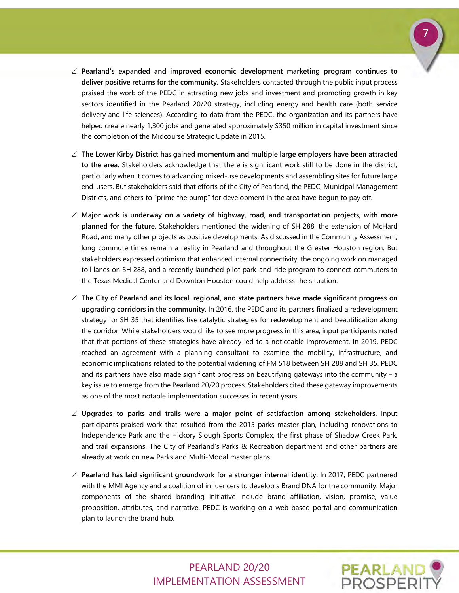

- ∠ **Pearland's expanded and improved economic development marketing program continues to deliver positive returns for the community.** Stakeholders contacted through the public input process praised the work of the PEDC in attracting new jobs and investment and promoting growth in key sectors identified in the Pearland 20/20 strategy, including energy and health care (both service delivery and life sciences). According to data from the PEDC, the organization and its partners have helped create nearly 1,300 jobs and generated approximately \$350 million in capital investment since the completion of the Midcourse Strategic Update in 2015.
- ∠ **The Lower Kirby District has gained momentum and multiple large employers have been attracted to the area.** Stakeholders acknowledge that there is significant work still to be done in the district, particularly when it comes to advancing mixed-use developments and assembling sites for future large end-users. But stakeholders said that efforts of the City of Pearland, the PEDC, Municipal Management Districts, and others to "prime the pump" for development in the area have begun to pay off.
- ∠ **Major work is underway on a variety of highway, road, and transportation projects, with more planned for the future.** Stakeholders mentioned the widening of SH 288, the extension of McHard Road, and many other projects as positive developments. As discussed in the Community Assessment, long commute times remain a reality in Pearland and throughout the Greater Houston region. But stakeholders expressed optimism that enhanced internal connectivity, the ongoing work on managed toll lanes on SH 288, and a recently launched pilot park-and-ride program to connect commuters to the Texas Medical Center and Downton Houston could help address the situation.
- ∠ **The City of Pearland and its local, regional, and state partners have made significant progress on upgrading corridors in the community.** In 2016, the PEDC and its partners finalized a redevelopment strategy for SH 35 that identifies five catalytic strategies for redevelopment and beautification along the corridor. While stakeholders would like to see more progress in this area, input participants noted that that portions of these strategies have already led to a noticeable improvement. In 2019, PEDC reached an agreement with a planning consultant to examine the mobility, infrastructure, and economic implications related to the potential widening of FM 518 between SH 288 and SH 35. PEDC and its partners have also made significant progress on beautifying gateways into the community – a key issue to emerge from the Pearland 20/20 process. Stakeholders cited these gateway improvements as one of the most notable implementation successes in recent years.
- ∠ **Upgrades to parks and trails were a major point of satisfaction among stakeholders**. Input participants praised work that resulted from the 2015 parks master plan, including renovations to Independence Park and the Hickory Slough Sports Complex, the first phase of Shadow Creek Park, and trail expansions. The City of Pearland's Parks & Recreation department and other partners are already at work on new Parks and Multi-Modal master plans.
- ∠ **Pearland has laid significant groundwork for a stronger internal identity.** In 2017, PEDC partnered with the MMI Agency and a coalition of influencers to develop a Brand DNA for the community. Major components of the shared branding initiative include brand affiliation, vision, promise, value proposition, attributes, and narrative. PEDC is working on a web-based portal and communication plan to launch the brand hub.

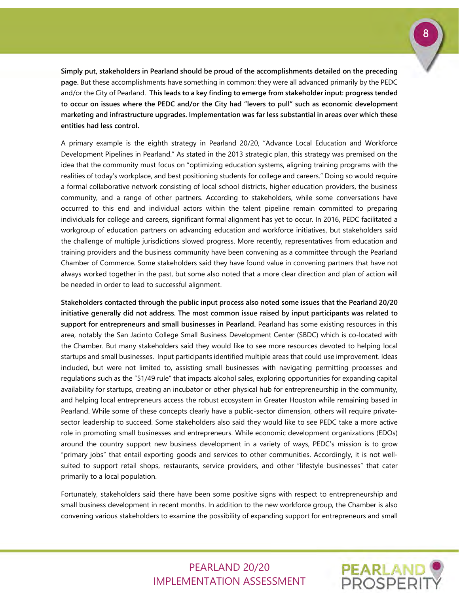**Simply put, stakeholders in Pearland should be proud of the accomplishments detailed on the preceding page.** But these accomplishments have something in common: they were all advanced primarily by the PEDC and/or the City of Pearland. **This leads to a key finding to emerge from stakeholder input: progress tended to occur on issues where the PEDC and/or the City had "levers to pull" such as economic development marketing and infrastructure upgrades. Implementation was far less substantial in areas over which these entities had less control.** 

A primary example is the eighth strategy in Pearland 20/20, "Advance Local Education and Workforce Development Pipelines in Pearland." As stated in the 2013 strategic plan, this strategy was premised on the idea that the community must focus on "optimizing education systems, aligning training programs with the realities of today's workplace, and best positioning students for college and careers." Doing so would require a formal collaborative network consisting of local school districts, higher education providers, the business community, and a range of other partners. According to stakeholders, while some conversations have occurred to this end and individual actors within the talent pipeline remain committed to preparing individuals for college and careers, significant formal alignment has yet to occur. In 2016, PEDC facilitated a workgroup of education partners on advancing education and workforce initiatives, but stakeholders said the challenge of multiple jurisdictions slowed progress. More recently, representatives from education and training providers and the business community have been convening as a committee through the Pearland Chamber of Commerce. Some stakeholders said they have found value in convening partners that have not always worked together in the past, but some also noted that a more clear direction and plan of action will be needed in order to lead to successful alignment.

**Stakeholders contacted through the public input process also noted some issues that the Pearland 20/20 initiative generally did not address. The most common issue raised by input participants was related to support for entrepreneurs and small businesses in Pearland.** Pearland has some existing resources in this area, notably the San Jacinto College Small Business Development Center (SBDC) which is co-located with the Chamber. But many stakeholders said they would like to see more resources devoted to helping local startups and small businesses. Input participants identified multiple areas that could use improvement. Ideas included, but were not limited to, assisting small businesses with navigating permitting processes and regulations such as the "51/49 rule" that impacts alcohol sales, exploring opportunities for expanding capital availability for startups, creating an incubator or other physical hub for entrepreneurship in the community, and helping local entrepreneurs access the robust ecosystem in Greater Houston while remaining based in Pearland. While some of these concepts clearly have a public-sector dimension, others will require privatesector leadership to succeed. Some stakeholders also said they would like to see PEDC take a more active role in promoting small businesses and entrepreneurs. While economic development organizations (EDOs) around the country support new business development in a variety of ways, PEDC's mission is to grow "primary jobs" that entail exporting goods and services to other communities. Accordingly, it is not wellsuited to support retail shops, restaurants, service providers, and other "lifestyle businesses" that cater primarily to a local population.

Fortunately, stakeholders said there have been some positive signs with respect to entrepreneurship and small business development in recent months. In addition to the new workforce group, the Chamber is also convening various stakeholders to examine the possibility of expanding support for entrepreneurs and small

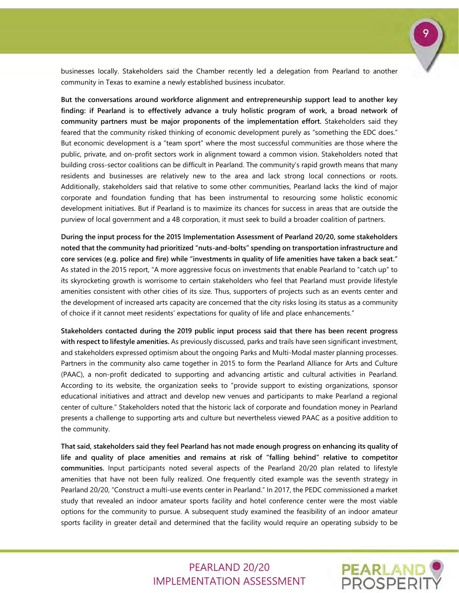businesses locally. Stakeholders said the Chamber recently led a delegation from Pearland to another community in Texas to examine a newly established business incubator.

**But the conversations around workforce alignment and entrepreneurship support lead to another key finding: if Pearland is to effectively advance a truly holistic program of work, a broad network of community partners must be major proponents of the implementation effort.** Stakeholders said they feared that the community risked thinking of economic development purely as "something the EDC does." But economic development is a "team sport" where the most successful communities are those where the public, private, and on-profit sectors work in alignment toward a common vision. Stakeholders noted that building cross-sector coalitions can be difficult in Pearland. The community's rapid growth means that many residents and businesses are relatively new to the area and lack strong local connections or roots. Additionally, stakeholders said that relative to some other communities, Pearland lacks the kind of major corporate and foundation funding that has been instrumental to resourcing some holistic economic development initiatives. But if Pearland is to maximize its chances for success in areas that are outside the purview of local government and a 4B corporation, it must seek to build a broader coalition of partners.

**During the input process for the 2015 Implementation Assessment of Pearland 20/20, some stakeholders noted that the community had prioritized "nuts-and-bolts" spending on transportation infrastructure and core services (e.g. police and fire) while "investments in quality of life amenities have taken a back seat."** As stated in the 2015 report, "A more aggressive focus on investments that enable Pearland to "catch up" to its skyrocketing growth is worrisome to certain stakeholders who feel that Pearland must provide lifestyle amenities consistent with other cities of its size. Thus, supporters of projects such as an events center and the development of increased arts capacity are concerned that the city risks losing its status as a community of choice if it cannot meet residents' expectations for quality of life and place enhancements."

**Stakeholders contacted during the 2019 public input process said that there has been recent progress with respect to lifestyle amenities.** As previously discussed, parks and trails have seen significant investment, and stakeholders expressed optimism about the ongoing Parks and Multi-Modal master planning processes. Partners in the community also came together in 2015 to form the Pearland Alliance for Arts and Culture (PAAC), a non-profit dedicated to supporting and advancing artistic and cultural activities in Pearland. According to its website, the organization seeks to "provide support to existing organizations, sponsor educational initiatives and attract and develop new venues and participants to make Pearland a regional center of culture." Stakeholders noted that the historic lack of corporate and foundation money in Pearland presents a challenge to supporting arts and culture but nevertheless viewed PAAC as a positive addition to the community.

**That said, stakeholders said they feel Pearland has not made enough progress on enhancing its quality of life and quality of place amenities and remains at risk of "falling behind" relative to competitor communities.** Input participants noted several aspects of the Pearland 20/20 plan related to lifestyle amenities that have not been fully realized. One frequently cited example was the seventh strategy in Pearland 20/20, "Construct a multi-use events center in Pearland." In 2017, the PEDC commissioned a market study that revealed an indoor amateur sports facility and hotel conference center were the most viable options for the community to pursue. A subsequent study examined the feasibility of an indoor amateur sports facility in greater detail and determined that the facility would require an operating subsidy to be

> PEARLAND 20/20 IMPLEMENTATION ASSESSMENT



9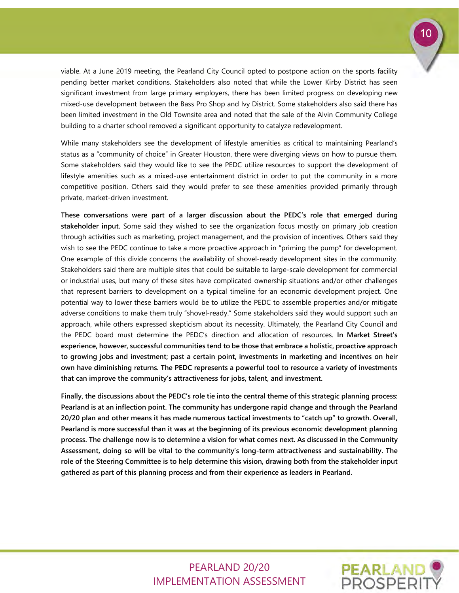

viable. At a June 2019 meeting, the Pearland City Council opted to postpone action on the sports facility pending better market conditions. Stakeholders also noted that while the Lower Kirby District has seen significant investment from large primary employers, there has been limited progress on developing new mixed-use development between the Bass Pro Shop and Ivy District. Some stakeholders also said there has been limited investment in the Old Townsite area and noted that the sale of the Alvin Community College building to a charter school removed a significant opportunity to catalyze redevelopment.

While many stakeholders see the development of lifestyle amenities as critical to maintaining Pearland's status as a "community of choice" in Greater Houston, there were diverging views on how to pursue them. Some stakeholders said they would like to see the PEDC utilize resources to support the development of lifestyle amenities such as a mixed-use entertainment district in order to put the community in a more competitive position. Others said they would prefer to see these amenities provided primarily through private, market-driven investment.

**These conversations were part of a larger discussion about the PEDC's role that emerged during stakeholder input.** Some said they wished to see the organization focus mostly on primary job creation through activities such as marketing, project management, and the provision of incentives. Others said they wish to see the PEDC continue to take a more proactive approach in "priming the pump" for development. One example of this divide concerns the availability of shovel-ready development sites in the community. Stakeholders said there are multiple sites that could be suitable to large-scale development for commercial or industrial uses, but many of these sites have complicated ownership situations and/or other challenges that represent barriers to development on a typical timeline for an economic development project. One potential way to lower these barriers would be to utilize the PEDC to assemble properties and/or mitigate adverse conditions to make them truly "shovel-ready." Some stakeholders said they would support such an approach, while others expressed skepticism about its necessity. Ultimately, the Pearland City Council and the PEDC board must determine the PEDC's direction and allocation of resources. **In Market Street's experience, however, successful communities tend to be those that embrace a holistic, proactive approach to growing jobs and investment; past a certain point, investments in marketing and incentives on heir own have diminishing returns. The PEDC represents a powerful tool to resource a variety of investments that can improve the community's attractiveness for jobs, talent, and investment.**

**Finally, the discussions about the PEDC's role tie into the central theme of this strategic planning process: Pearland is at an inflection point. The community has undergone rapid change and through the Pearland 20/20 plan and other means it has made numerous tactical investments to "catch up" to growth. Overall, Pearland is more successful than it was at the beginning of its previous economic development planning process. The challenge now is to determine a vision for what comes next. As discussed in the Community Assessment, doing so will be vital to the community's long-term attractiveness and sustainability. The role of the Steering Committee is to help determine this vision, drawing both from the stakeholder input gathered as part of this planning process and from their experience as leaders in Pearland.** 

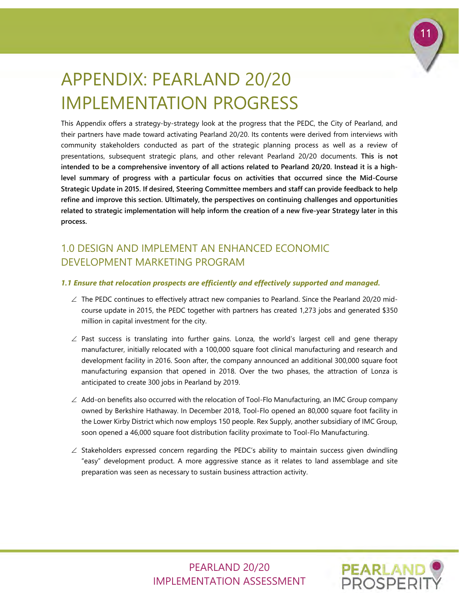

# <span id="page-12-0"></span>APPENDIX: PEARLAND 20/20 IMPLEMENTATION PROGRESS

This Appendix offers a strategy-by-strategy look at the progress that the PEDC, the City of Pearland, and their partners have made toward activating Pearland 20/20. Its contents were derived from interviews with community stakeholders conducted as part of the strategic planning process as well as a review of presentations, subsequent strategic plans, and other relevant Pearland 20/20 documents. **This is not intended to be a comprehensive inventory of all actions related to Pearland 20/20. Instead it is a highlevel summary of progress with a particular focus on activities that occurred since the Mid-Course Strategic Update in 2015. If desired, Steering Committee members and staff can provide feedback to help refine and improve this section. Ultimately, the perspectives on continuing challenges and opportunities related to strategic implementation will help inform the creation of a new five-year Strategy later in this process.**

## 1.0 DESIGN AND IMPLEMENT AN ENHANCED ECONOMIC DEVELOPMENT MARKETING PROGRAM

## *1.1 Ensure that relocation prospects are efficiently and effectively supported and managed.*

- ∠ The PEDC continues to effectively attract new companies to Pearland. Since the Pearland 20/20 midcourse update in 2015, the PEDC together with partners has created 1,273 jobs and generated \$350 million in capital investment for the city.
- $∠$  Past success is translating into further gains. Lonza, the world's largest cell and gene therapy manufacturer, initially relocated with a 100,000 square foot clinical manufacturing and research and development facility in 2016. Soon after, the company announced an additional 300,000 square foot manufacturing expansion that opened in 2018. Over the two phases, the attraction of Lonza is anticipated to create 300 jobs in Pearland by 2019.
- $\angle$  Add-on benefits also occurred with the relocation of Tool-Flo Manufacturing, an IMC Group company owned by Berkshire Hathaway. In December 2018, Tool-Flo opened an 80,000 square foot facility in the Lower Kirby District which now employs 150 people. Rex Supply, another subsidiary of IMC Group, soon opened a 46,000 square foot distribution facility proximate to Tool-Flo Manufacturing.
- ∠ Stakeholders expressed concern regarding the PEDC's ability to maintain success given dwindling "easy" development product. A more aggressive stance as it relates to land assemblage and site preparation was seen as necessary to sustain business attraction activity.

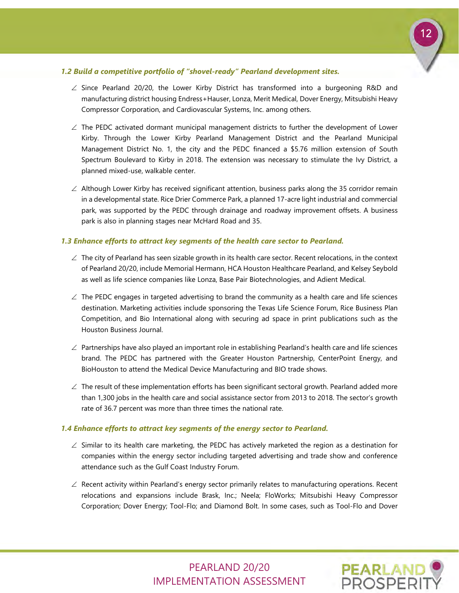

#### *1.2 Build a competitive portfolio of "shovel-ready" Pearland development sites.*

- ∠ Since Pearland 20/20, the Lower Kirby District has transformed into a burgeoning R&D and manufacturing district housing Endress+Hauser, Lonza, Merit Medical, Dover Energy, Mitsubishi Heavy Compressor Corporation, and Cardiovascular Systems, Inc. among others.
- ∠ The PEDC activated dormant municipal management districts to further the development of Lower Kirby. Through the Lower Kirby Pearland Management District and the Pearland Municipal Management District No. 1, the city and the PEDC financed a \$5.76 million extension of South Spectrum Boulevard to Kirby in 2018. The extension was necessary to stimulate the Ivy District, a planned mixed-use, walkable center.
- $\angle$  Although Lower Kirby has received significant attention, business parks along the 35 corridor remain in a developmental state. Rice Drier Commerce Park, a planned 17-acre light industrial and commercial park, was supported by the PEDC through drainage and roadway improvement offsets. A business park is also in planning stages near McHard Road and 35.

#### *1.3 Enhance efforts to attract key segments of the health care sector to Pearland.*

- $\angle$  The city of Pearland has seen sizable growth in its health care sector. Recent relocations, in the context of Pearland 20/20, include Memorial Hermann, HCA Houston Healthcare Pearland, and Kelsey Seybold as well as life science companies like Lonza, Base Pair Biotechnologies, and Adient Medical.
- $\angle$  The PEDC engages in targeted advertising to brand the community as a health care and life sciences destination. Marketing activities include sponsoring the Texas Life Science Forum, Rice Business Plan Competition, and Bio International along with securing ad space in print publications such as the Houston Business Journal.
- ∠ Partnerships have also played an important role in establishing Pearland's health care and life sciences brand. The PEDC has partnered with the Greater Houston Partnership, CenterPoint Energy, and BioHouston to attend the Medical Device Manufacturing and BIO trade shows.
- $\angle$  The result of these implementation efforts has been significant sectoral growth. Pearland added more than 1,300 jobs in the health care and social assistance sector from 2013 to 2018. The sector's growth rate of 36.7 percent was more than three times the national rate.

#### *1.4 Enhance efforts to attract key segments of the energy sector to Pearland.*

- $\angle$  Similar to its health care marketing, the PEDC has actively marketed the region as a destination for companies within the energy sector including targeted advertising and trade show and conference attendance such as the Gulf Coast Industry Forum.
- ∠ Recent activity within Pearland's energy sector primarily relates to manufacturing operations. Recent relocations and expansions include Brask, Inc.; Neela; FloWorks; Mitsubishi Heavy Compressor Corporation; Dover Energy; Tool-Flo; and Diamond Bolt. In some cases, such as Tool-Flo and Dover

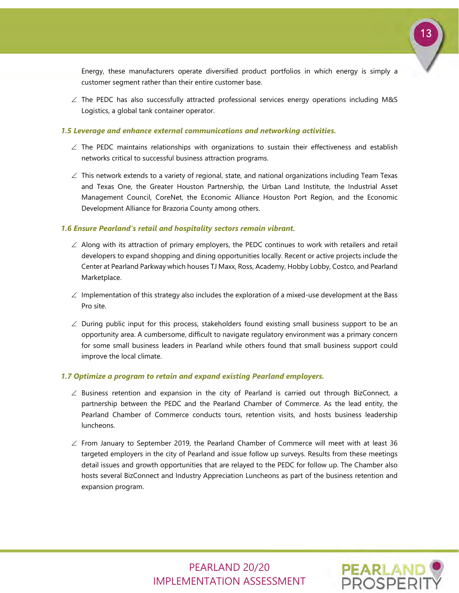

Energy, these manufacturers operate diversified product portfolios in which energy is simply a customer segment rather than their entire customer base.

∠ The PEDC has also successfully attracted professional services energy operations including M&S Logistics, a global tank container operator.

#### *1.5 Leverage and enhance external communications and networking activities.*

- $\angle$  The PEDC maintains relationships with organizations to sustain their effectiveness and establish networks critical to successful business attraction programs.
- ∠ This network extends to a variety of regional, state, and national organizations including Team Texas and Texas One, the Greater Houston Partnership, the Urban Land Institute, the Industrial Asset Management Council, CoreNet, the Economic Alliance Houston Port Region, and the Economic Development Alliance for Brazoria County among others.

#### *1.6 Ensure Pearland's retail and hospitality sectors remain vibrant.*

- $\angle$  Along with its attraction of primary employers, the PEDC continues to work with retailers and retail developers to expand shopping and dining opportunities locally. Recent or active projects include the Center at Pearland Parkway which houses TJ Maxx, Ross, Academy, Hobby Lobby, Costco, and Pearland Marketplace.
- $\angle$  Implementation of this strategy also includes the exploration of a mixed-use development at the Bass Pro site.
- $\angle$  During public input for this process, stakeholders found existing small business support to be an opportunity area. A cumbersome, difficult to navigate regulatory environment was a primary concern for some small business leaders in Pearland while others found that small business support could improve the local climate.

#### *1.7 Optimize a program to retain and expand existing Pearland employers.*

- $\angle$  Business retention and expansion in the city of Pearland is carried out through BizConnect, a partnership between the PEDC and the Pearland Chamber of Commerce. As the lead entity, the Pearland Chamber of Commerce conducts tours, retention visits, and hosts business leadership luncheons.
- $\angle$  From January to September 2019, the Pearland Chamber of Commerce will meet with at least 36 targeted employers in the city of Pearland and issue follow up surveys. Results from these meetings detail issues and growth opportunities that are relayed to the PEDC for follow up. The Chamber also hosts several BizConnect and Industry Appreciation Luncheons as part of the business retention and expansion program.

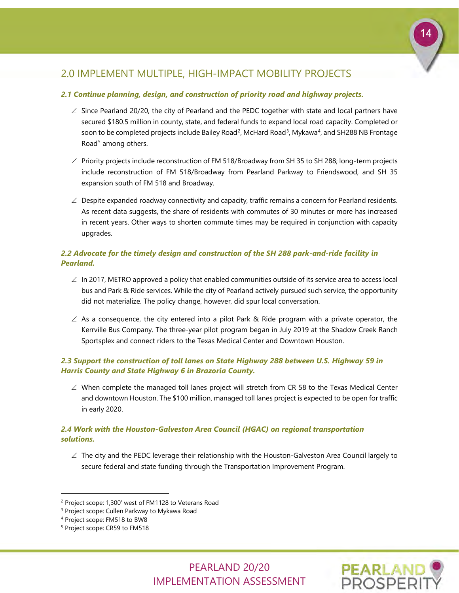# 14

## 2.0 IMPLEMENT MULTIPLE, HIGH-IMPACT MOBILITY PROJECTS

#### *2.1 Continue planning, design, and construction of priority road and highway projects.*

- ∠ Since Pearland 20/20, the city of Pearland and the PEDC together with state and local partners have secured \$180.5 million in county, state, and federal funds to expand local road capacity. Completed or soon to be completed projects include Bailey Road<sup>[2](#page-15-0)</sup>, McHard Road<sup>[3](#page-15-1)</sup>, Mykawa<sup>[4](#page-15-2)</sup>, and SH288 NB Frontage Road<sup>[5](#page-15-3)</sup> among others.
- ∠ Priority projects include reconstruction of FM 518/Broadway from SH 35 to SH 288; long-term projects include reconstruction of FM 518/Broadway from Pearland Parkway to Friendswood, and SH 35 expansion south of FM 518 and Broadway.
- $\angle$  Despite expanded roadway connectivity and capacity, traffic remains a concern for Pearland residents. As recent data suggests, the share of residents with commutes of 30 minutes or more has increased in recent years. Other ways to shorten commute times may be required in conjunction with capacity upgrades.

## *2.2 Advocate for the timely design and construction of the SH 288 park-and-ride facility in Pearland.*

- $\angle$  In 2017, METRO approved a policy that enabled communities outside of its service area to access local bus and Park & Ride services. While the city of Pearland actively pursued such service, the opportunity did not materialize. The policy change, however, did spur local conversation.
- $\angle$  As a consequence, the city entered into a pilot Park & Ride program with a private operator, the Kerrville Bus Company. The three-year pilot program began in July 2019 at the Shadow Creek Ranch Sportsplex and connect riders to the Texas Medical Center and Downtown Houston.

## *2.3 Support the construction of toll lanes on State Highway 288 between U.S. Highway 59 in Harris County and State Highway 6 in Brazoria County.*

 $\angle$  When complete the managed toll lanes project will stretch from CR 58 to the Texas Medical Center and downtown Houston. The \$100 million, managed toll lanes project is expected to be open for traffic in early 2020.

## *2.4 Work with the Houston-Galveston Area Council (HGAC) on regional transportation solutions.*

 $\angle$  The city and the PEDC leverage their relationship with the Houston-Galveston Area Council largely to secure federal and state funding through the Transportation Improvement Program.

-

<span id="page-15-3"></span><sup>5</sup> Project scope: CR59 to FM518





<span id="page-15-0"></span><sup>2</sup> Project scope: 1,300' west of FM1128 to Veterans Road

<span id="page-15-1"></span><sup>&</sup>lt;sup>3</sup> Project scope: Cullen Parkway to Mykawa Road

<span id="page-15-2"></span><sup>4</sup> Project scope: FM518 to BW8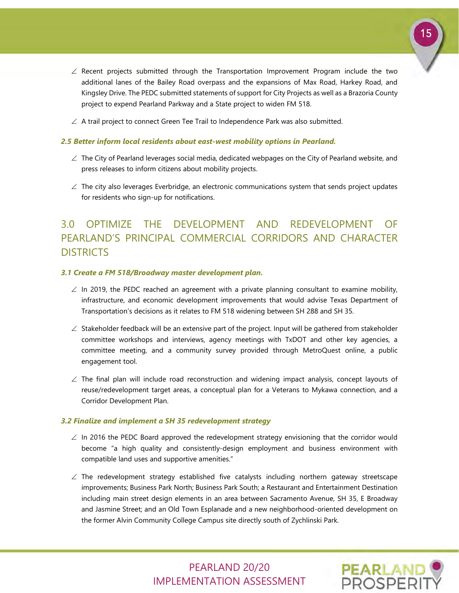

- $\angle$  Recent projects submitted through the Transportation Improvement Program include the two additional lanes of the Bailey Road overpass and the expansions of Max Road, Harkey Road, and Kingsley Drive. The PEDC submitted statements of support for City Projects as well as a Brazoria County project to expend Pearland Parkway and a State project to widen FM 518.
- $\angle$  A trail project to connect Green Tee Trail to Independence Park was also submitted.

#### *2.5 Better inform local residents about east-west mobility options in Pearland.*

- ∠ The City of Pearland leverages social media, dedicated webpages on the City of Pearland website, and press releases to inform citizens about mobility projects.
- $\angle$  The city also leverages Everbridge, an electronic communications system that sends project updates for residents who sign-up for notifications.

## 3.0 OPTIMIZE THE DEVELOPMENT AND REDEVELOPMENT OF PEARLAND'S PRINCIPAL COMMERCIAL CORRIDORS AND CHARACTER **DISTRICTS**

#### *3.1 Create a FM 518/Broadway master development plan.*

- $\angle$  In 2019, the PEDC reached an agreement with a private planning consultant to examine mobility, infrastructure, and economic development improvements that would advise Texas Department of Transportation's decisions as it relates to FM 518 widening between SH 288 and SH 35.
- ∠ Stakeholder feedback will be an extensive part of the project. Input will be gathered from stakeholder committee workshops and interviews, agency meetings with TxDOT and other key agencies, a committee meeting, and a community survey provided through MetroQuest online, a public engagement tool.
- ∠ The final plan will include road reconstruction and widening impact analysis, concept layouts of reuse/redevelopment target areas, a conceptual plan for a Veterans to Mykawa connection, and a Corridor Development Plan.

#### *3.2 Finalize and implement a SH 35 redevelopment strategy*

- $\angle$  In 2016 the PEDC Board approved the redevelopment strategy envisioning that the corridor would become "a high quality and consistently-design employment and business environment with compatible land uses and supportive amenities."
- $\angle$  The redevelopment strategy established five catalysts including northern gateway streetscape improvements; Business Park North; Business Park South; a Restaurant and Entertainment Destination including main street design elements in an area between Sacramento Avenue, SH 35, E Broadway and Jasmine Street; and an Old Town Esplanade and a new neighborhood-oriented development on the former Alvin Community College Campus site directly south of Zychlinski Park.

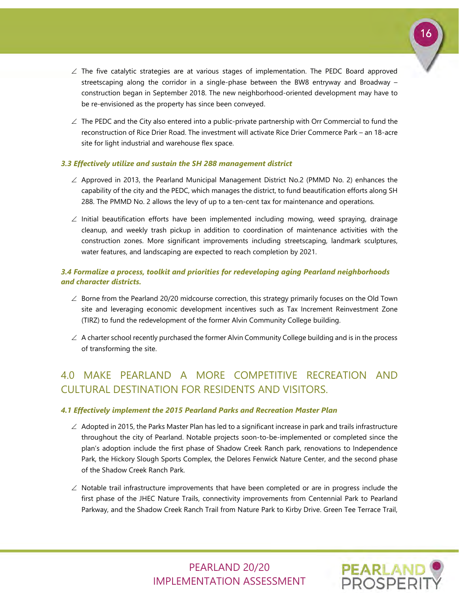- ∠ The five catalytic strategies are at various stages of implementation. The PEDC Board approved streetscaping along the corridor in a single-phase between the BW8 entryway and Broadway – construction began in September 2018. The new neighborhood-oriented development may have to be re-envisioned as the property has since been conveyed.
- $\angle$  The PEDC and the City also entered into a public-private partnership with Orr Commercial to fund the reconstruction of Rice Drier Road. The investment will activate Rice Drier Commerce Park – an 18-acre site for light industrial and warehouse flex space.

#### *3.3 Effectively utilize and sustain the SH 288 management district*

- ∠ Approved in 2013, the Pearland Municipal Management District No.2 (PMMD No. 2) enhances the capability of the city and the PEDC, which manages the district, to fund beautification efforts along SH 288. The PMMD No. 2 allows the levy of up to a ten-cent tax for maintenance and operations.
- ∠ Initial beautification efforts have been implemented including mowing, weed spraying, drainage cleanup, and weekly trash pickup in addition to coordination of maintenance activities with the construction zones. More significant improvements including streetscaping, landmark sculptures, water features, and landscaping are expected to reach completion by 2021.

## *3.4 Formalize a process, toolkit and priorities for redeveloping aging Pearland neighborhoods and character districts.*

- ∠ Borne from the Pearland 20/20 midcourse correction, this strategy primarily focuses on the Old Town site and leveraging economic development incentives such as Tax Increment Reinvestment Zone (TIRZ) to fund the redevelopment of the former Alvin Community College building.
- $\angle$  A charter school recently purchased the former Alvin Community College building and is in the process of transforming the site.

## 4.0 MAKE PEARLAND A MORE COMPETITIVE RECREATION AND CULTURAL DESTINATION FOR RESIDENTS AND VISITORS.

#### *4.1 Effectively implement the 2015 Pearland Parks and Recreation Master Plan*

- $\angle$  Adopted in 2015, the Parks Master Plan has led to a significant increase in park and trails infrastructure throughout the city of Pearland. Notable projects soon-to-be-implemented or completed since the plan's adoption include the first phase of Shadow Creek Ranch park, renovations to Independence Park, the Hickory Slough Sports Complex, the Delores Fenwick Nature Center, and the second phase of the Shadow Creek Ranch Park.
- $\angle$  Notable trail infrastructure improvements that have been completed or are in progress include the first phase of the JHEC Nature Trails, connectivity improvements from Centennial Park to Pearland Parkway, and the Shadow Creek Ranch Trail from Nature Park to Kirby Drive. Green Tee Terrace Trail,

## PEARLAND 20/20 IMPLEMENTATION ASSESSMENT



16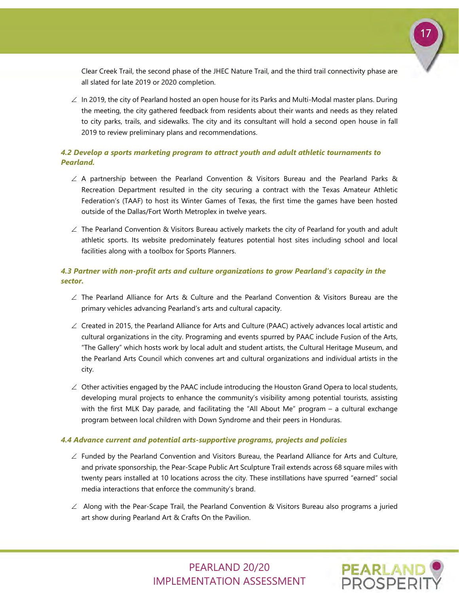

Clear Creek Trail, the second phase of the JHEC Nature Trail, and the third trail connectivity phase are all slated for late 2019 or 2020 completion.

∠ In 2019, the city of Pearland hosted an open house for its Parks and Multi-Modal master plans. During the meeting, the city gathered feedback from residents about their wants and needs as they related to city parks, trails, and sidewalks. The city and its consultant will hold a second open house in fall 2019 to review preliminary plans and recommendations.

## *4.2 Develop a sports marketing program to attract youth and adult athletic tournaments to Pearland.*

- ∠ A partnership between the Pearland Convention & Visitors Bureau and the Pearland Parks & Recreation Department resulted in the city securing a contract with the Texas Amateur Athletic Federation's (TAAF) to host its Winter Games of Texas, the first time the games have been hosted outside of the Dallas/Fort Worth Metroplex in twelve years.
- $\angle$  The Pearland Convention & Visitors Bureau actively markets the city of Pearland for youth and adult athletic sports. Its website predominately features potential host sites including school and local facilities along with a toolbox for Sports Planners.

## *4.3 Partner with non-profit arts and culture organizations to grow Pearland's capacity in the sector.*

- ∠ The Pearland Alliance for Arts & Culture and the Pearland Convention & Visitors Bureau are the primary vehicles advancing Pearland's arts and cultural capacity.
- ∠ Created in 2015, the Pearland Alliance for Arts and Culture (PAAC) actively advances local artistic and cultural organizations in the city. Programing and events spurred by PAAC include Fusion of the Arts, "The Gallery" which hosts work by local adult and student artists, the Cultural Heritage Museum, and the Pearland Arts Council which convenes art and cultural organizations and individual artists in the city.
- $\angle$  Other activities engaged by the PAAC include introducing the Houston Grand Opera to local students, developing mural projects to enhance the community's visibility among potential tourists, assisting with the first MLK Day parade, and facilitating the "All About Me" program – a cultural exchange program between local children with Down Syndrome and their peers in Honduras.

#### *4.4 Advance current and potential arts-supportive programs, projects and policies*

- ∠ Funded by the Pearland Convention and Visitors Bureau, the Pearland Alliance for Arts and Culture, and private sponsorship, the Pear-Scape Public Art Sculpture Trail extends across 68 square miles with twenty pears installed at 10 locations across the city. These instillations have spurred "earned" social media interactions that enforce the community's brand.
- ∠ Along with the Pear-Scape Trail, the Pearland Convention & Visitors Bureau also programs a juried art show during Pearland Art & Crafts On the Pavilion.

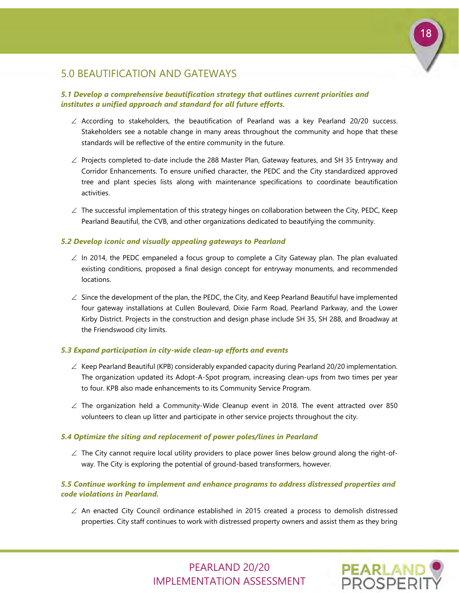

## 5.0 BEAUTIFICATION AND GATEWAYS

## *5.1 Develop a comprehensive beautification strategy that outlines current priorities and institutes a unified approach and standard for all future efforts.*

- ∠ According to stakeholders, the beautification of Pearland was a key Pearland 20/20 success. Stakeholders see a notable change in many areas throughout the community and hope that these standards will be reflective of the entire community in the future.
- ∠ Projects completed to-date include the 288 Master Plan, Gateway features, and SH 35 Entryway and Corridor Enhancements. To ensure unified character, the PEDC and the City standardized approved tree and plant species lists along with maintenance specifications to coordinate beautification activities.
- $\angle$  The successful implementation of this strategy hinges on collaboration between the City, PEDC, Keep Pearland Beautiful, the CVB, and other organizations dedicated to beautifying the community.

#### *5.2 Develop iconic and visually appealing gateways to Pearland*

- $\angle$  In 2014, the PEDC empaneled a focus group to complete a City Gateway plan. The plan evaluated existing conditions, proposed a final design concept for entryway monuments, and recommended locations.
- $\angle$  Since the development of the plan, the PEDC, the City, and Keep Pearland Beautiful have implemented four gateway installations at Cullen Boulevard, Dixie Farm Road, Pearland Parkway, and the Lower Kirby District. Projects in the construction and design phase include SH 35, SH 288, and Broadway at the Friendswood city limits.

#### *5.3 Expand participation in city-wide clean-up efforts and events*

- ∠ Keep Pearland Beautiful (KPB) considerably expanded capacity during Pearland 20/20 implementation. The organization updated its Adopt-A-Spot program, increasing clean-ups from two times per year to four. KPB also made enhancements to its Community Service Program.
- $\angle$  The organization held a Community-Wide Cleanup event in 2018. The event attracted over 850 volunteers to clean up litter and participate in other service projects throughout the city.

#### *5.4 Optimize the siting and replacement of power poles/lines in Pearland*

 $\angle$  The City cannot require local utility providers to place power lines below ground along the right-ofway. The City is exploring the potential of ground-based transformers, however.

## *5.5 Continue working to implement and enhance programs to address distressed properties and code violations in Pearland.*

∠ An enacted City Council ordinance established in 2015 created a process to demolish distressed properties. City staff continues to work with distressed property owners and assist them as they bring

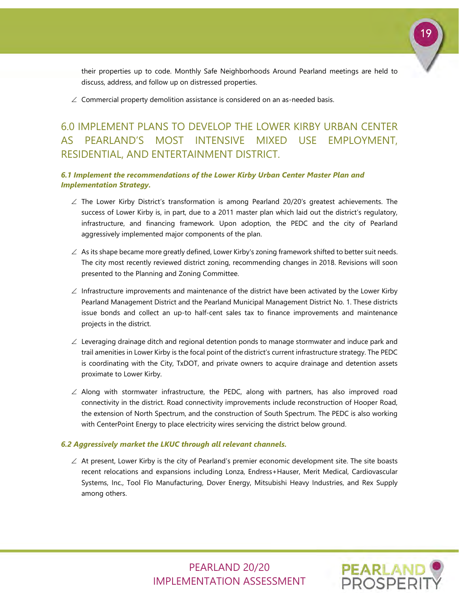

their properties up to code. Monthly Safe Neighborhoods Around Pearland meetings are held to discuss, address, and follow up on distressed properties.

 $\angle$  Commercial property demolition assistance is considered on an as-needed basis.

## 6.0 IMPLEMENT PLANS TO DEVELOP THE LOWER KIRBY URBAN CENTER AS PEARLAND'S MOST INTENSIVE MIXED USE EMPLOYMENT, RESIDENTIAL, AND ENTERTAINMENT DISTRICT.

#### *6.1 Implement the recommendations of the Lower Kirby Urban Center Master Plan and Implementation Strategy.*

- ∠ The Lower Kirby District's transformation is among Pearland 20/20's greatest achievements. The success of Lower Kirby is, in part, due to a 2011 master plan which laid out the district's regulatory, infrastructure, and financing framework. Upon adoption, the PEDC and the city of Pearland aggressively implemented major components of the plan.
- $\angle$  As its shape became more greatly defined, Lower Kirby's zoning framework shifted to better suit needs. The city most recently reviewed district zoning, recommending changes in 2018. Revisions will soon presented to the Planning and Zoning Committee.
- $\angle$  Infrastructure improvements and maintenance of the district have been activated by the Lower Kirby Pearland Management District and the Pearland Municipal Management District No. 1. These districts issue bonds and collect an up-to half-cent sales tax to finance improvements and maintenance projects in the district.
- $\angle$  Leveraging drainage ditch and regional detention ponds to manage stormwater and induce park and trail amenities in Lower Kirby is the focal point of the district's current infrastructure strategy. The PEDC is coordinating with the City, TxDOT, and private owners to acquire drainage and detention assets proximate to Lower Kirby.
- ∠ Along with stormwater infrastructure, the PEDC, along with partners, has also improved road connectivity in the district. Road connectivity improvements include reconstruction of Hooper Road, the extension of North Spectrum, and the construction of South Spectrum. The PEDC is also working with CenterPoint Energy to place electricity wires servicing the district below ground.

#### *6.2 Aggressively market the LKUC through all relevant channels.*

∠ At present, Lower Kirby is the city of Pearland's premier economic development site. The site boasts recent relocations and expansions including Lonza, Endress+Hauser, Merit Medical, Cardiovascular Systems, Inc., Tool Flo Manufacturing, Dover Energy, Mitsubishi Heavy Industries, and Rex Supply among others.

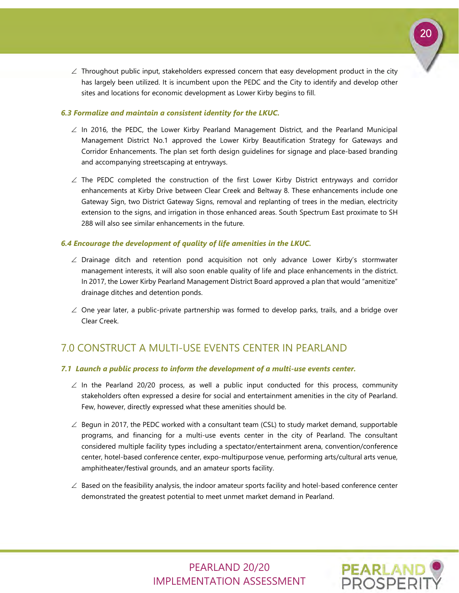

 $\angle$  Throughout public input, stakeholders expressed concern that easy development product in the city has largely been utilized. It is incumbent upon the PEDC and the City to identify and develop other sites and locations for economic development as Lower Kirby begins to fill.

#### *6.3 Formalize and maintain a consistent identity for the LKUC.*

- $\angle$  In 2016, the PEDC, the Lower Kirby Pearland Management District, and the Pearland Municipal Management District No.1 approved the Lower Kirby Beautification Strategy for Gateways and Corridor Enhancements. The plan set forth design guidelines for signage and place-based branding and accompanying streetscaping at entryways.
- ∠ The PEDC completed the construction of the first Lower Kirby District entryways and corridor enhancements at Kirby Drive between Clear Creek and Beltway 8. These enhancements include one Gateway Sign, two District Gateway Signs, removal and replanting of trees in the median, electricity extension to the signs, and irrigation in those enhanced areas. South Spectrum East proximate to SH 288 will also see similar enhancements in the future.

#### *6.4 Encourage the development of quality of life amenities in the LKUC.*

- ∠ Drainage ditch and retention pond acquisition not only advance Lower Kirby's stormwater management interests, it will also soon enable quality of life and place enhancements in the district. In 2017, the Lower Kirby Pearland Management District Board approved a plan that would "amenitize" drainage ditches and detention ponds.
- $\angle$  One year later, a public-private partnership was formed to develop parks, trails, and a bridge over Clear Creek.

## 7.0 CONSTRUCT A MULTI-USE EVENTS CENTER IN PEARLAND

#### *7.1 Launch a public process to inform the development of a multi-use events center.*

- $\angle$  In the Pearland 20/20 process, as well a public input conducted for this process, community stakeholders often expressed a desire for social and entertainment amenities in the city of Pearland. Few, however, directly expressed what these amenities should be.
- $\angle$  Begun in 2017, the PEDC worked with a consultant team (CSL) to study market demand, supportable programs, and financing for a multi-use events center in the city of Pearland. The consultant considered multiple facility types including a spectator/entertainment arena, convention/conference center, hotel-based conference center, expo-multipurpose venue, performing arts/cultural arts venue, amphitheater/festival grounds, and an amateur sports facility.
- $\angle$  Based on the feasibility analysis, the indoor amateur sports facility and hotel-based conference center demonstrated the greatest potential to meet unmet market demand in Pearland.

## PEARLAND 20/20 IMPLEMENTATION ASSESSMENT

**PEARLAND**<br>PROSPERI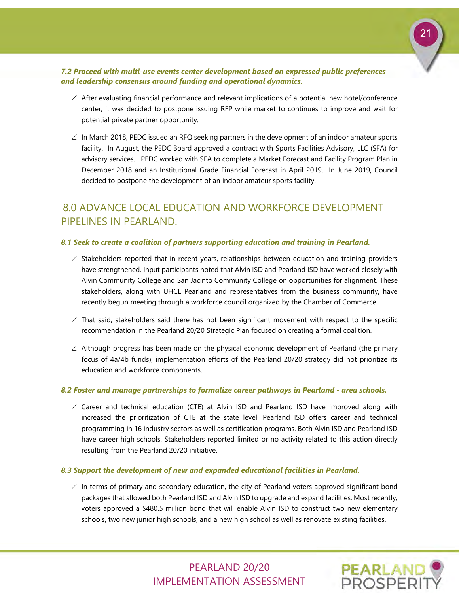

## *7.2 Proceed with multi-use events center development based on expressed public preferences and leadership consensus around funding and operational dynamics.*

- ∠ After evaluating financial performance and relevant implications of a potential new hotel/conference center, it was decided to postpone issuing RFP while market to continues to improve and wait for potential private partner opportunity.
- ∠ In March 2018, PEDC issued an RFQ seeking partners in the development of an indoor amateur sports facility. In August, the PEDC Board approved a contract with Sports Facilities Advisory, LLC (SFA) for advisory services. PEDC worked with SFA to complete a Market Forecast and Facility Program Plan in December 2018 and an Institutional Grade Financial Forecast in April 2019. In June 2019, Council decided to postpone the development of an indoor amateur sports facility.

## 8.0 ADVANCE LOCAL EDUCATION AND WORKFORCE DEVELOPMENT PIPELINES IN PEARLAND.

#### *8.1 Seek to create a coalition of partners supporting education and training in Pearland.*

- $\angle$  Stakeholders reported that in recent years, relationships between education and training providers have strengthened. Input participants noted that Alvin ISD and Pearland ISD have worked closely with Alvin Community College and San Jacinto Community College on opportunities for alignment. These stakeholders, along with UHCL Pearland and representatives from the business community, have recently begun meeting through a workforce council organized by the Chamber of Commerce.
- $\angle$  That said, stakeholders said there has not been significant movement with respect to the specific recommendation in the Pearland 20/20 Strategic Plan focused on creating a formal coalition.
- $\angle$  Although progress has been made on the physical economic development of Pearland (the primary focus of 4a/4b funds), implementation efforts of the Pearland 20/20 strategy did not prioritize its education and workforce components.

#### *8.2 Foster and manage partnerships to formalize career pathways in Pearland - area schools.*

∠ Career and technical education (CTE) at Alvin ISD and Pearland ISD have improved along with increased the prioritization of CTE at the state level. Pearland ISD offers career and technical programming in 16 industry sectors as well as certification programs. Both Alvin ISD and Pearland ISD have career high schools. Stakeholders reported limited or no activity related to this action directly resulting from the Pearland 20/20 initiative.

#### *8.3 Support the development of new and expanded educational facilities in Pearland.*

∠ In terms of primary and secondary education, the city of Pearland voters approved significant bond packages that allowed both Pearland ISD and Alvin ISD to upgrade and expand facilities. Most recently, voters approved a \$480.5 million bond that will enable Alvin ISD to construct two new elementary schools, two new junior high schools, and a new high school as well as renovate existing facilities.